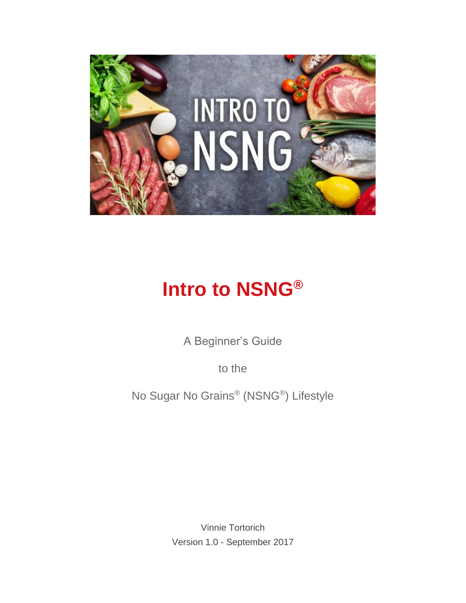

# **Intro to NSNG®**

A Beginner's Guide

to the

No Sugar No Grains® (NSNG® ) Lifestyle

Vinnie Tortorich Version 1.0 - September 2017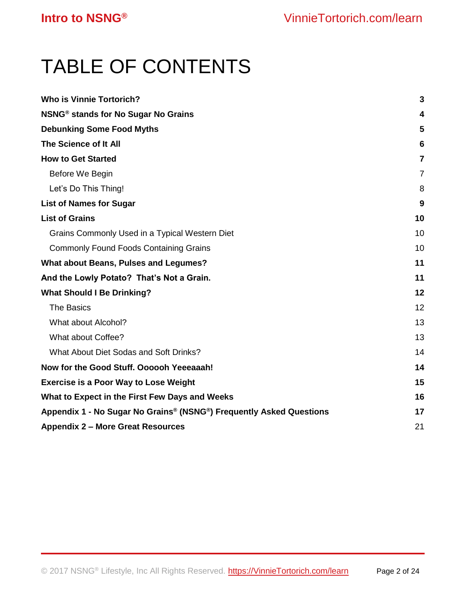# TABLE OF CONTENTS

| <b>Who is Vinnie Tortorich?</b>                                     | 3              |
|---------------------------------------------------------------------|----------------|
| NSNG <sup>®</sup> stands for No Sugar No Grains                     | 4              |
| <b>Debunking Some Food Myths</b>                                    | 5              |
| The Science of It All                                               | 6              |
| <b>How to Get Started</b>                                           | 7              |
| Before We Begin                                                     | $\overline{7}$ |
| Let's Do This Thing!                                                | 8              |
| <b>List of Names for Sugar</b>                                      | 9              |
| <b>List of Grains</b>                                               | 10             |
| Grains Commonly Used in a Typical Western Diet                      | 10             |
| <b>Commonly Found Foods Containing Grains</b>                       | 10             |
| <b>What about Beans, Pulses and Legumes?</b>                        | 11             |
| And the Lowly Potato? That's Not a Grain.                           | 11             |
| <b>What Should I Be Drinking?</b>                                   | 12             |
| <b>The Basics</b>                                                   | 12             |
| What about Alcohol?                                                 | 13             |
| What about Coffee?                                                  | 13             |
| What About Diet Sodas and Soft Drinks?                              | 14             |
| Now for the Good Stuff. Oooooh Yeeeaaah!                            | 14             |
| <b>Exercise is a Poor Way to Lose Weight</b>                        |                |
| What to Expect in the First Few Days and Weeks                      | 16             |
| Appendix 1 - No Sugar No Grains® (NSNG®) Frequently Asked Questions | 17             |
| <b>Appendix 2 - More Great Resources</b>                            |                |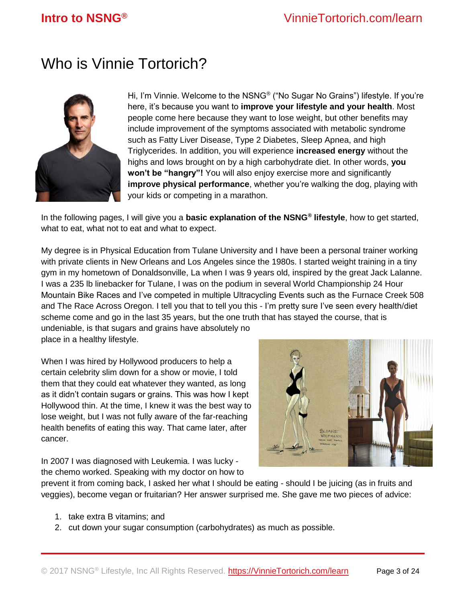## <span id="page-2-0"></span>Who is Vinnie Tortorich?



Hi, I'm Vinnie. Welcome to the NSNG® ("No Sugar No Grains") lifestyle. If you're here, it's because you want to **improve your lifestyle and your health**. Most people come here because they want to lose weight, but other benefits may include improvement of the symptoms associated with metabolic syndrome such as Fatty Liver Disease, Type 2 Diabetes, Sleep Apnea, and high Triglycerides. In addition, you will experience **increased energy** without the highs and lows brought on by a high carbohydrate diet. In other words, **you won't be "hangry"!** You will also enjoy exercise more and significantly **improve physical performance**, whether you're walking the dog, playing with your kids or competing in a marathon.

In the following pages, I will give you a **basic explanation of the NSNG® lifestyle**, how to get started, what to eat, what not to eat and what to expect.

My degree is in Physical Education from Tulane University and I have been a personal trainer working with private clients in New Orleans and Los Angeles since the 1980s. I started weight training in a tiny gym in my hometown of Donaldsonville, La when I was 9 years old, inspired by the great Jack Lalanne. I was a 235 lb linebacker for Tulane, I was on the podium in several World Championship 24 Hour Mountain Bike Races and I've competed in multiple Ultracycling Events such as the Furnace Creek 508 and The Race Across Oregon. I tell you that to tell you this - I'm pretty sure I've seen every health/diet scheme come and go in the last 35 years, but the one truth that has stayed the course, that is

undeniable, is that sugars and grains have absolutely no place in a healthy lifestyle.

When I was hired by Hollywood producers to help a certain celebrity slim down for a show or movie, I told them that they could eat whatever they wanted, as long as it didn't contain sugars or grains. This was how I kept Hollywood thin. At the time, I knew it was the best way to lose weight, but I was not fully aware of the far-reaching health benefits of eating this way. That came later, after cancer.



In 2007 I was diagnosed with Leukemia. I was lucky the chemo worked. Speaking with my doctor on how to

prevent it from coming back, I asked her what I should be eating - should I be juicing (as in fruits and veggies), become vegan or fruitarian? Her answer surprised me. She gave me two pieces of advice:

- 1. take extra B vitamins; and
- 2. cut down your sugar consumption (carbohydrates) as much as possible.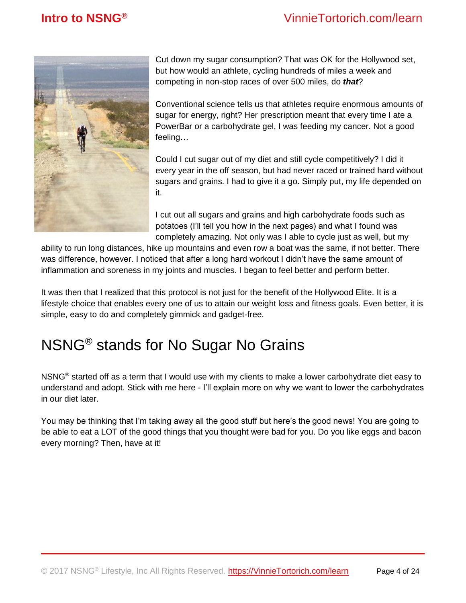

Cut down my sugar consumption? That was OK for the Hollywood set, but how would an athlete, cycling hundreds of miles a week and competing in non-stop races of over 500 miles, do *that*?

Conventional science tells us that athletes require enormous amounts of sugar for energy, right? Her prescription meant that every time I ate a PowerBar or a carbohydrate gel, I was feeding my cancer. Not a good feeling…

Could I cut sugar out of my diet and still cycle competitively? I did it every year in the off season, but had never raced or trained hard without sugars and grains. I had to give it a go. Simply put, my life depended on it.

I cut out all sugars and grains and high carbohydrate foods such as potatoes (I'll tell you how in the next pages) and what I found was completely amazing. Not only was I able to cycle just as well, but my

ability to run long distances, hike up mountains and even row a boat was the same, if not better. There was difference, however. I noticed that after a long hard workout I didn't have the same amount of inflammation and soreness in my joints and muscles. I began to feel better and perform better.

It was then that I realized that this protocol is not just for the benefit of the Hollywood Elite. It is a lifestyle choice that enables every one of us to attain our weight loss and fitness goals. Even better, it is simple, easy to do and completely gimmick and gadget-free.

## <span id="page-3-0"></span>NSNG® stands for No Sugar No Grains

NSNG® started off as a term that I would use with my clients to make a lower carbohydrate diet easy to understand and adopt. Stick with me here - I'll explain more on why we want to lower the carbohydrates in our diet later.

You may be thinking that I'm taking away all the good stuff but here's the good news! You are going to be able to eat a LOT of the good things that you thought were bad for you. Do you like eggs and bacon every morning? Then, have at it!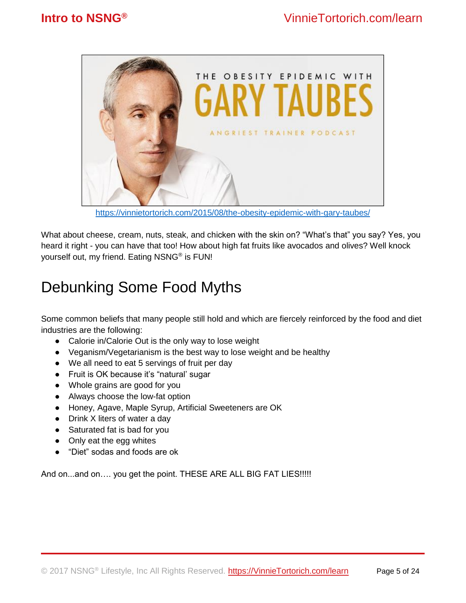

<https://vinnietortorich.com/2015/08/the-obesity-epidemic-with-gary-taubes/>

What about cheese, cream, nuts, steak, and chicken with the skin on? "What's that" you say? Yes, you heard it right - you can have that too! How about high fat fruits like avocados and olives? Well knock yourself out, my friend. Eating NSNG® is FUN!

## <span id="page-4-0"></span>Debunking Some Food Myths

Some common beliefs that many people still hold and which are fiercely reinforced by the food and diet industries are the following:

- Calorie in/Calorie Out is the only way to lose weight
- Veganism/Vegetarianism is the best way to lose weight and be healthy
- We all need to eat 5 servings of fruit per day
- Fruit is OK because it's "natural' sugar
- Whole grains are good for you
- Always choose the low-fat option
- Honey, Agave, Maple Syrup, Artificial Sweeteners are OK
- Drink X liters of water a day
- Saturated fat is bad for you
- Only eat the egg whites
- "Diet" sodas and foods are ok

And on...and on.... you get the point. THESE ARE ALL BIG FAT LIES!!!!!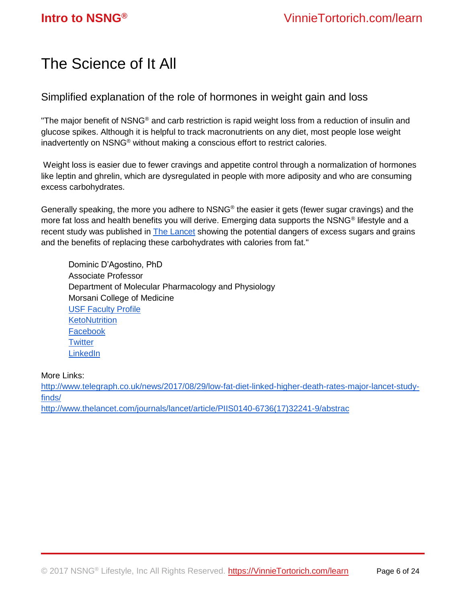## <span id="page-5-0"></span>The Science of It All

Simplified explanation of the role of hormones in weight gain and loss

"The major benefit of NSNG® and carb restriction is rapid weight loss from a reduction of insulin and glucose spikes. Although it is helpful to track macronutrients on any diet, most people lose weight inadvertently on NSNG® without making a conscious effort to restrict calories.

Weight loss is easier due to fewer cravings and appetite control through a normalization of hormones like leptin and ghrelin, which are dysregulated in people with more adiposity and who are consuming excess carbohydrates.

Generally speaking, the more you adhere to NSNG® the easier it gets (fewer sugar cravings) and the more fat loss and health benefits you will derive. Emerging data supports the NSNG® lifestyle and a recent study was published in [The Lancet](http://www.thelancet.com/journals/lancet/article/PIIS0140-6736(17)32252-3/fulltext) showing the potential dangers of excess sugars and grains and the benefits of replacing these carbohydrates with calories from fat."

Dominic D'Agostino, PhD Associate Professor Department of Molecular Pharmacology and Physiology Morsani College of Medicine [USF Faculty Profile](http://health.usf.edu/medicine/mpp/faculty/24854/Dominic-DAgostino.aspx) **[KetoNutrition](http://ketonutrition.org/)** [Facebook](https://www.facebook.com/dominic.dagostino.1) **[Twitter](https://twitter.com/DominicDAgosti2?lang=en) [LinkedIn](https://www.linkedin.com/in/dominic-d-agostino-156014b/)** 

### More Links:

[http://www.telegraph.co.uk/news/2017/08/29/low-fat-diet-linked-higher-death-rates-major-lancet-study](http://www.telegraph.co.uk/news/2017/08/29/low-fat-diet-linked-higher-death-rates-major-lancet-study-finds/)[finds/](http://www.telegraph.co.uk/news/2017/08/29/low-fat-diet-linked-higher-death-rates-major-lancet-study-finds/) [http://www.thelancet.com/journals/lancet/article/PIIS0140-6736\(17\)32241-9/abstrac](http://www.thelancet.com/journals/lancet/article/PIIS0140-6736(17)32241-9/abstrac)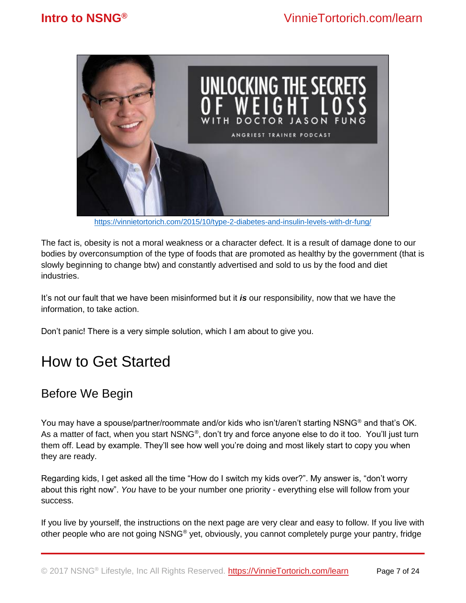

<https://vinnietortorich.com/2015/10/type-2-diabetes-and-insulin-levels-with-dr-fung/>

The fact is, obesity is not a moral weakness or a character defect. It is a result of damage done to our bodies by overconsumption of the type of foods that are promoted as healthy by the government (that is slowly beginning to change btw) and constantly advertised and sold to us by the food and diet industries.

It's not our fault that we have been misinformed but it *is* our responsibility, now that we have the information, to take action.

<span id="page-6-0"></span>Don't panic! There is a very simple solution, which I am about to give you.

## How to Get Started

## <span id="page-6-1"></span>Before We Begin

You may have a spouse/partner/roommate and/or kids who isn't/aren't starting NSNG® and that's OK. As a matter of fact, when you start NSNG®, don't try and force anyone else to do it too. You'll just turn them off. Lead by example. They'll see how well you're doing and most likely start to copy you when they are ready.

Regarding kids, I get asked all the time "How do I switch my kids over?". My answer is, "don't worry about this right now". *You* have to be your number one priority - everything else will follow from your success.

If you live by yourself, the instructions on the next page are very clear and easy to follow. If you live with other people who are not going NSNG® yet, obviously, you cannot completely purge your pantry, fridge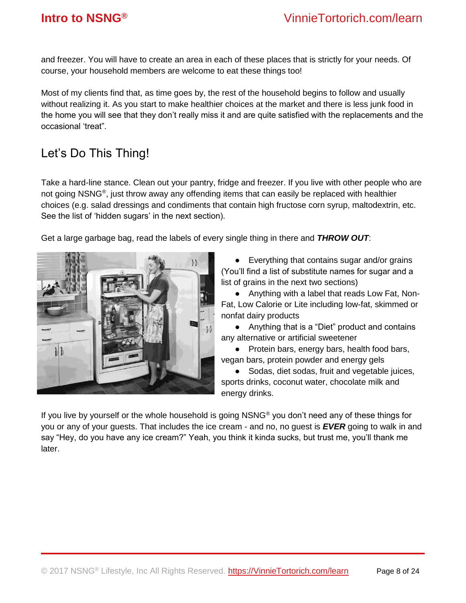and freezer. You will have to create an area in each of these places that is strictly for your needs. Of course, your household members are welcome to eat these things too!

Most of my clients find that, as time goes by, the rest of the household begins to follow and usually without realizing it. As you start to make healthier choices at the market and there is less junk food in the home you will see that they don't really miss it and are quite satisfied with the replacements and the occasional 'treat".

## <span id="page-7-0"></span>Let's Do This Thing!

Take a hard-line stance. Clean out your pantry, fridge and freezer. If you live with other people who are not going NSNG®, just throw away any offending items that can easily be replaced with healthier choices (e.g. salad dressings and condiments that contain high fructose corn syrup, maltodextrin, etc. See the list of 'hidden sugars' in the next section).

Get a large garbage bag, read the labels of every single thing in there and *THROW OUT*:



● Everything that contains sugar and/or grains (You'll find a list of substitute names for sugar and a list of grains in the next two sections)

● Anything with a label that reads Low Fat, Non-Fat, Low Calorie or Lite including low-fat, skimmed or nonfat dairy products

● Anything that is a "Diet" product and contains any alternative or artificial sweetener

● Protein bars, energy bars, health food bars, vegan bars, protein powder and energy gels

● Sodas, diet sodas, fruit and vegetable juices, sports drinks, coconut water, chocolate milk and energy drinks.

If you live by yourself or the whole household is going NSNG® you don't need any of these things for you or any of your guests. That includes the ice cream - and no, no guest is *EVER* going to walk in and say "Hey, do you have any ice cream?" Yeah, you think it kinda sucks, but trust me, you'll thank me later.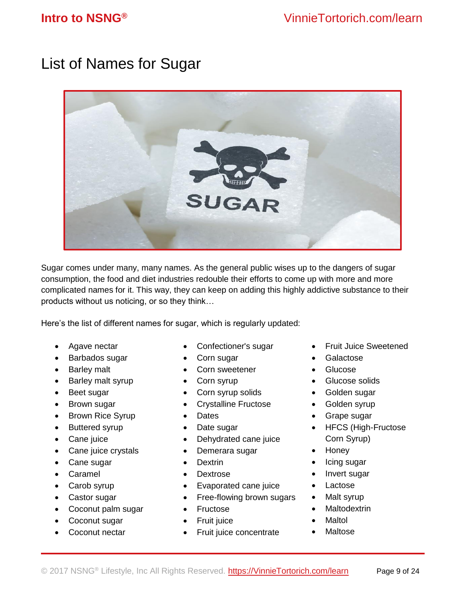## <span id="page-8-0"></span>List of Names for Sugar



Sugar comes under many, many names. As the general public wises up to the dangers of sugar consumption, the food and diet industries redouble their efforts to come up with more and more complicated names for it. This way, they can keep on adding this highly addictive substance to their products without us noticing, or so they think…

Here's the list of different names for sugar, which is regularly updated:

- Agave nectar
- Barbados sugar
- Barley malt
- Barley malt syrup
- Beet sugar
- Brown sugar
- Brown Rice Syrup
- Buttered syrup
- Cane juice
- Cane juice crystals
- Cane sugar
- Caramel
- Carob syrup
- Castor sugar
- Coconut palm sugar
- Coconut sugar
- Coconut nectar
- Confectioner's sugar
- Corn sugar
- Corn sweetener
- Corn syrup
- Corn syrup solids
- Crystalline Fructose
- Dates
- Date sugar
- Dehydrated cane juice
- Demerara sugar
- Dextrin
- Dextrose
- Evaporated cane juice
- Free-flowing brown sugars
- Fructose
- Fruit juice
- Fruit juice concentrate
- Fruit Juice Sweetened
- Galactose
- Glucose
- Glucose solids
- Golden sugar
- Golden syrup
- Grape sugar
- HFCS (High-Fructose Corn Syrup)
- Honey
- Icing sugar
- Invert sugar
- Lactose
- Malt syrup
- **Maltodextrin**
- **Maltol**
- **Maltose**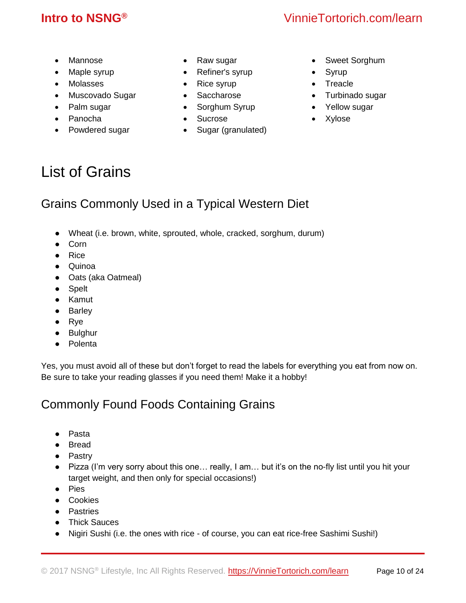## **Intro to NSNG®** VinnieTortorich.com/learn

- Mannose
- Maple syrup
- Molasses
- Muscovado Sugar
- Palm sugar
- Panocha
- Powdered sugar
- Raw sugar
- Refiner's syrup
- Rice syrup
- Saccharose
- Sorghum Syrup
- Sucrose
- Sugar (granulated)
- Sweet Sorghum
- Syrup
- Treacle
- Turbinado sugar
- Yellow sugar
- Xylose

## <span id="page-9-0"></span>List of Grains

## <span id="page-9-1"></span>Grains Commonly Used in a Typical Western Diet

- Wheat (i.e. brown, white, sprouted, whole, cracked, sorghum, durum)
- Corn
- Rice
- Quinoa
- Oats (aka Oatmeal)
- Spelt
- Kamut
- Barley
- Rye
- Bulghur
- Polenta

Yes, you must avoid all of these but don't forget to read the labels for everything you eat from now on. Be sure to take your reading glasses if you need them! Make it a hobby!

## <span id="page-9-2"></span>Commonly Found Foods Containing Grains

- Pasta
- Bread
- Pastry
- Pizza (I'm very sorry about this one… really, I am… but it's on the no-fly list until you hit your target weight, and then only for special occasions!)
- Pies
- Cookies
- Pastries
- Thick Sauces
- Nigiri Sushi (i.e. the ones with rice of course, you can eat rice-free Sashimi Sushi!)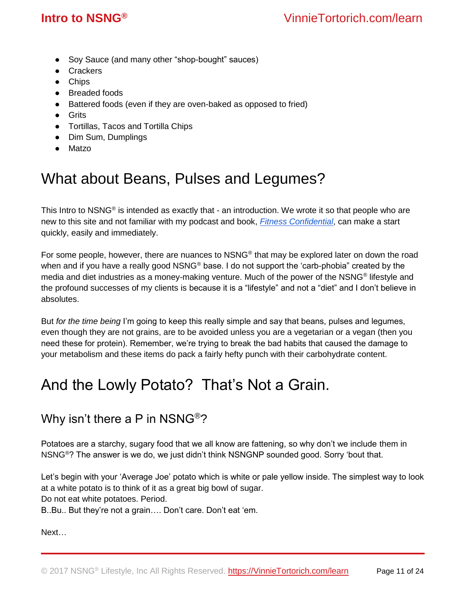- Soy Sauce (and many other "shop-bought" sauces)
- Crackers
- Chips
- Breaded foods
- Battered foods (even if they are oven-baked as opposed to fried)
- Grits
- Tortillas, Tacos and Tortilla Chips
- Dim Sum, Dumplings
- Matzo

## <span id="page-10-0"></span>What about Beans, Pulses and Legumes?

This Intro to NSNG<sup>®</sup> is intended as exactly that - an introduction. We wrote it so that people who are new to this site and not familiar with my podcast and book, *[Fitness Confidential](https://www.amazon.com/gp/product/1939337925/ref=as_li_qf_sp_asin_il_tl?ie=UTF8&tag=vinnitorto-20&camp=1789&creative=9325&linkCode=as2&creativeASIN=1939337925&linkId=17679c3cb3dae58f0721607dfbb84003)*, can make a start quickly, easily and immediately.

For some people, however, there are nuances to NSNG® that may be explored later on down the road when and if you have a really good NSNG<sup>®</sup> base. I do not support the 'carb-phobia" created by the media and diet industries as a money-making venture. Much of the power of the NSNG<sup>®</sup> lifestyle and the profound successes of my clients is because it is a "lifestyle" and not a "diet" and I don't believe in absolutes.

But *for the time being* I'm going to keep this really simple and say that beans, pulses and legumes, even though they are not grains, are to be avoided unless you are a vegetarian or a vegan (then you need these for protein). Remember, we're trying to break the bad habits that caused the damage to your metabolism and these items do pack a fairly hefty punch with their carbohydrate content.

## <span id="page-10-1"></span>And the Lowly Potato? That's Not a Grain.

## Why isn't there a P in NSNG®?

Potatoes are a starchy, sugary food that we all know are fattening, so why don't we include them in NSNG®? The answer is we do, we just didn't think NSNGNP sounded good. Sorry 'bout that.

Let's begin with your 'Average Joe' potato which is white or pale yellow inside. The simplest way to look at a white potato is to think of it as a great big bowl of sugar. Do not eat white potatoes. Period.

B..Bu.. But they're not a grain…. Don't care. Don't eat 'em.

Next…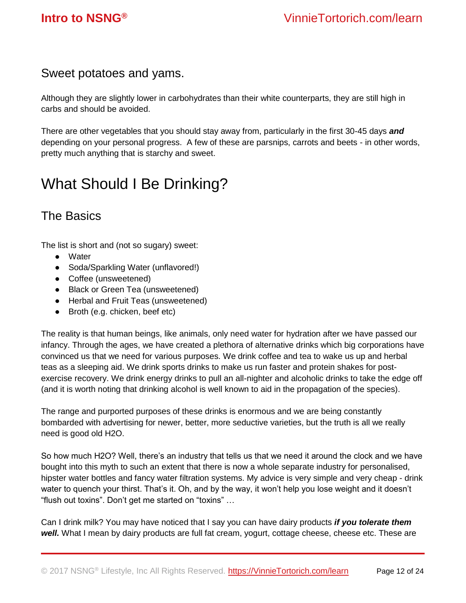## Sweet potatoes and yams.

Although they are slightly lower in carbohydrates than their white counterparts, they are still high in carbs and should be avoided.

There are other vegetables that you should stay away from, particularly in the first 30-45 days *and*  depending on your personal progress. A few of these are parsnips, carrots and beets - in other words, pretty much anything that is starchy and sweet.

## <span id="page-11-0"></span>What Should I Be Drinking?

## <span id="page-11-1"></span>The Basics

The list is short and (not so sugary) sweet:

- Water
- Soda/Sparkling Water (unflavored!)
- Coffee (unsweetened)
- Black or Green Tea (unsweetened)
- Herbal and Fruit Teas (unsweetened)
- Broth (e.g. chicken, beef etc)

The reality is that human beings, like animals, only need water for hydration after we have passed our infancy. Through the ages, we have created a plethora of alternative drinks which big corporations have convinced us that we need for various purposes. We drink coffee and tea to wake us up and herbal teas as a sleeping aid. We drink sports drinks to make us run faster and protein shakes for postexercise recovery. We drink energy drinks to pull an all-nighter and alcoholic drinks to take the edge off (and it is worth noting that drinking alcohol is well known to aid in the propagation of the species).

The range and purported purposes of these drinks is enormous and we are being constantly bombarded with advertising for newer, better, more seductive varieties, but the truth is all we really need is good old H2O.

So how much H2O? Well, there's an industry that tells us that we need it around the clock and we have bought into this myth to such an extent that there is now a whole separate industry for personalised, hipster water bottles and fancy water filtration systems. My advice is very simple and very cheap - drink water to quench your thirst. That's it. Oh, and by the way, it won't help you lose weight and it doesn't "flush out toxins". Don't get me started on "toxins" …

Can I drink milk? You may have noticed that I say you can have dairy products *if you tolerate them*  well. What I mean by dairy products are full fat cream, yogurt, cottage cheese, cheese etc. These are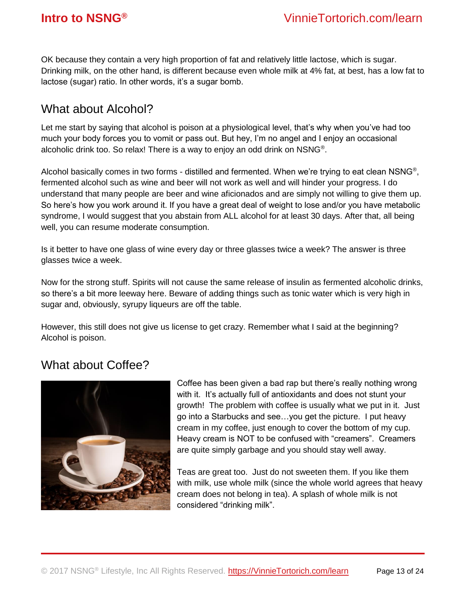OK because they contain a very high proportion of fat and relatively little lactose, which is sugar. Drinking milk, on the other hand, is different because even whole milk at 4% fat, at best, has a low fat to lactose (sugar) ratio. In other words, it's a sugar bomb.

## <span id="page-12-0"></span>What about Alcohol?

Let me start by saying that alcohol is poison at a physiological level, that's why when you've had too much your body forces you to vomit or pass out. But hey, I'm no angel and I enjoy an occasional alcoholic drink too. So relax! There is a way to enjoy an odd drink on NSNG<sup>®</sup>.

Alcohol basically comes in two forms - distilled and fermented. When we're trying to eat clean NSNG®, fermented alcohol such as wine and beer will not work as well and will hinder your progress. I do understand that many people are beer and wine aficionados and are simply not willing to give them up. So here's how you work around it. If you have a great deal of weight to lose and/or you have metabolic syndrome, I would suggest that you abstain from ALL alcohol for at least 30 days. After that, all being well, you can resume moderate consumption.

Is it better to have one glass of wine every day or three glasses twice a week? The answer is three glasses twice a week.

Now for the strong stuff. Spirits will not cause the same release of insulin as fermented alcoholic drinks, so there's a bit more leeway here. Beware of adding things such as tonic water which is very high in sugar and, obviously, syrupy liqueurs are off the table.

However, this still does not give us license to get crazy. Remember what I said at the beginning? Alcohol is poison.

## <span id="page-12-1"></span>What about Coffee?



Coffee has been given a bad rap but there's really nothing wrong with it. It's actually full of antioxidants and does not stunt your growth! The problem with coffee is usually what we put in it. Just go into a Starbucks and see…you get the picture. I put heavy cream in my coffee, just enough to cover the bottom of my cup. Heavy cream is NOT to be confused with "creamers". Creamers are quite simply garbage and you should stay well away.

Teas are great too. Just do not sweeten them. If you like them with milk, use whole milk (since the whole world agrees that heavy cream does not belong in tea). A splash of whole milk is not considered "drinking milk".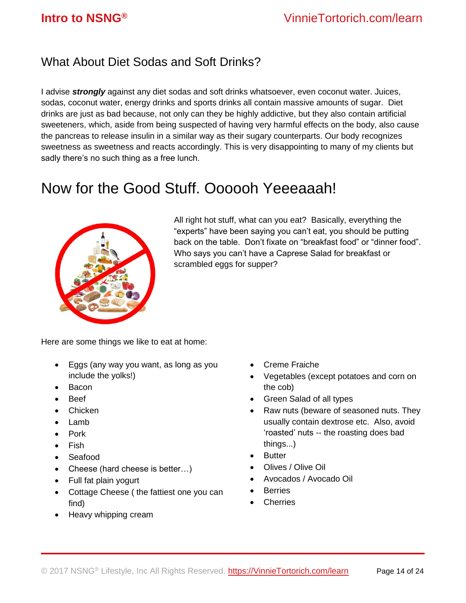## <span id="page-13-0"></span>What About Diet Sodas and Soft Drinks?

I advise *strongly* against any diet sodas and soft drinks whatsoever, even coconut water. Juices, sodas, coconut water, energy drinks and sports drinks all contain massive amounts of sugar. Diet drinks are just as bad because, not only can they be highly addictive, but they also contain artificial sweeteners, which, aside from being suspected of having very harmful effects on the body, also cause the pancreas to release insulin in a similar way as their sugary counterparts. Our body recognizes sweetness as sweetness and reacts accordingly. This is very disappointing to many of my clients but sadly there's no such thing as a free lunch.

## <span id="page-13-1"></span>Now for the Good Stuff. Oooooh Yeeeaaah!



All right hot stuff, what can you eat? Basically, everything the "experts" have been saying you can't eat, you should be putting back on the table. Don't fixate on "breakfast food" or "dinner food". Who says you can't have a Caprese Salad for breakfast or scrambled eggs for supper?

Here are some things we like to eat at home:

- Eggs (any way you want, as long as you include the yolks!)
- Bacon
- Beef
- Chicken
- Lamb
- Pork
- Fish
- Seafood
- Cheese (hard cheese is better...)
- Full fat plain yogurt
- Cottage Cheese ( the fattiest one you can find)
- Heavy whipping cream
- Creme Fraiche
- Vegetables (except potatoes and corn on the cob)
- Green Salad of all types
- Raw nuts (beware of seasoned nuts. They usually contain dextrose etc. Also, avoid 'roasted' nuts -- the roasting does bad things...)
- Butter
- Olives / Olive Oil
- Avocados / Avocado Oil
- **Berries**
- **Cherries**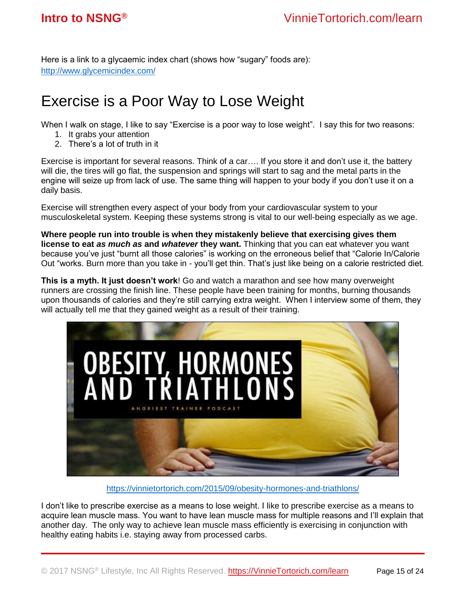<span id="page-14-0"></span>Here is a link to a glycaemic index chart (shows how "sugary" foods are): <http://www.glycemicindex.com/>

## Exercise is a Poor Way to Lose Weight

When I walk on stage, I like to say "Exercise is a poor way to lose weight". I say this for two reasons:

- 1. It grabs your attention
- 2. There's a lot of truth in it

Exercise is important for several reasons. Think of a car…. If you store it and don't use it, the battery will die, the tires will go flat, the suspension and springs will start to sag and the metal parts in the engine will seize up from lack of use. The same thing will happen to your body if you don't use it on a daily basis.

Exercise will strengthen every aspect of your body from your cardiovascular system to your musculoskeletal system. Keeping these systems strong is vital to our well-being especially as we age.

**Where people run into trouble is when they mistakenly believe that exercising gives them license to eat** *as much as* **and** *whatever* **they want.** Thinking that you can eat whatever you want because you've just "burnt all those calories" is working on the erroneous belief that "Calorie In/Calorie Out "works. Burn more than you take in - you'll get thin. That's just like being on a calorie restricted diet.

**This is a myth. It just doesn't work**! Go and watch a marathon and see how many overweight runners are crossing the finish line. These people have been training for months, burning thousands upon thousands of calories and they're still carrying extra weight. When I interview some of them, they will actually tell me that they gained weight as a result of their training.



<https://vinnietortorich.com/2015/09/obesity-hormones-and-triathlons/>

I don't like to prescribe exercise as a means to lose weight. I like to prescribe exercise as a means to acquire lean muscle mass. You want to have lean muscle mass for multiple reasons and I'll explain that another day. The only way to achieve lean muscle mass efficiently is exercising in conjunction with healthy eating habits i.e. staying away from processed carbs.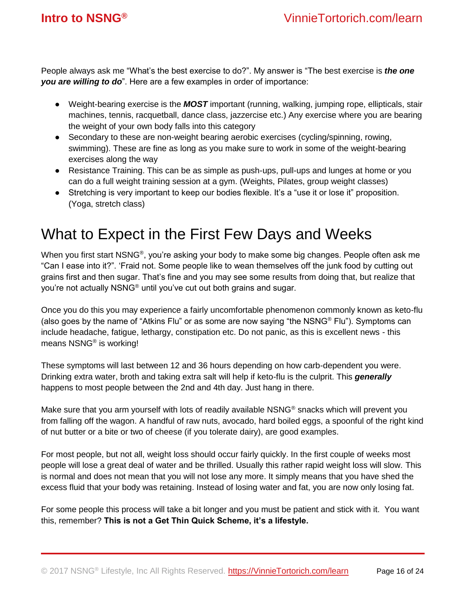People always ask me "What's the best exercise to do?". My answer is "The best exercise is *the one you are willing to do*". Here are a few examples in order of importance:

- Weight-bearing exercise is the *MOST* important (running, walking, jumping rope, ellipticals, stair machines, tennis, racquetball, dance class, jazzercise etc.) Any exercise where you are bearing the weight of your own body falls into this category
- Secondary to these are non-weight bearing aerobic exercises (cycling/spinning, rowing, swimming). These are fine as long as you make sure to work in some of the weight-bearing exercises along the way
- Resistance Training. This can be as simple as push-ups, pull-ups and lunges at home or you can do a full weight training session at a gym. (Weights, Pilates, group weight classes)
- Stretching is very important to keep our bodies flexible. It's a "use it or lose it" proposition. (Yoga, stretch class)

## <span id="page-15-0"></span>What to Expect in the First Few Days and Weeks

When you first start NSNG®, you're asking your body to make some big changes. People often ask me "Can I ease into it?". 'Fraid not. Some people like to wean themselves off the junk food by cutting out grains first and then sugar. That's fine and you may see some results from doing that, but realize that you're not actually NSNG® until you've cut out both grains and sugar.

Once you do this you may experience a fairly uncomfortable phenomenon commonly known as keto-flu (also goes by the name of "Atkins Flu" or as some are now saying "the NSNG® Flu"). Symptoms can include headache, fatigue, lethargy, constipation etc. Do not panic, as this is excellent news - this means NSNG® is working!

These symptoms will last between 12 and 36 hours depending on how carb-dependent you were. Drinking extra water, broth and taking extra salt will help if keto-flu is the culprit. This *generally* happens to most people between the 2nd and 4th day. Just hang in there.

Make sure that you arm yourself with lots of readily available NSNG<sup>®</sup> snacks which will prevent you from falling off the wagon. A handful of raw nuts, avocado, hard boiled eggs, a spoonful of the right kind of nut butter or a bite or two of cheese (if you tolerate dairy), are good examples.

For most people, but not all, weight loss should occur fairly quickly. In the first couple of weeks most people will lose a great deal of water and be thrilled. Usually this rather rapid weight loss will slow. This is normal and does not mean that you will not lose any more. It simply means that you have shed the excess fluid that your body was retaining. Instead of losing water and fat, you are now only losing fat.

<span id="page-15-1"></span>For some people this process will take a bit longer and you must be patient and stick with it. You want this, remember? **This is not a Get Thin Quick Scheme, it's a lifestyle.**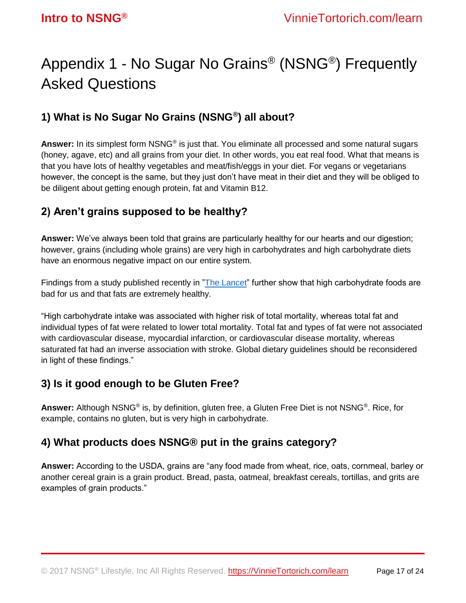## Appendix 1 - No Sugar No Grains® (NSNG®) Frequently Asked Questions

## **1) What is No Sugar No Grains (NSNG® ) all about?**

**Answer:** In its simplest form NSNG® is just that. You eliminate all processed and some natural sugars (honey, agave, etc) and all grains from your diet. In other words, you eat real food. What that means is that you have lots of healthy vegetables and meat/fish/eggs in your diet. For vegans or vegetarians however, the concept is the same, but they just don't have meat in their diet and they will be obliged to be diligent about getting enough protein, fat and Vitamin B12.

## **2) Aren't grains supposed to be healthy?**

**Answer:** We've always been told that grains are particularly healthy for our hearts and our digestion; however, grains (including whole grains) are very high in carbohydrates and high carbohydrate diets have an enormous negative impact on our entire system.

Findings from a study published recently in "The [Lancet"](http://www.thelancet.com/journals/lancet/article/PIIS0140-6736(17)32252-3/fulltext) further show that high carbohydrate foods are bad for us and that fats are extremely healthy.

"High carbohydrate intake was associated with higher risk of total mortality, whereas total fat and individual types of fat were related to lower total mortality. Total fat and types of fat were not associated with cardiovascular disease, myocardial infarction, or cardiovascular disease mortality, whereas saturated fat had an inverse association with stroke. Global dietary guidelines should be reconsidered in light of these findings."

## **3) Is it good enough to be Gluten Free?**

Answer: Although NSNG<sup>®</sup> is, by definition, gluten free, a Gluten Free Diet is not NSNG<sup>®</sup>. Rice, for example, contains no gluten, but is very high in carbohydrate.

## **4) What products does NSNG® put in the grains category?**

**Answer:** According to the USDA, grains are "any food made from wheat, rice, oats, cornmeal, barley or another cereal grain is a grain product. Bread, pasta, oatmeal, breakfast cereals, tortillas, and grits are examples of grain products."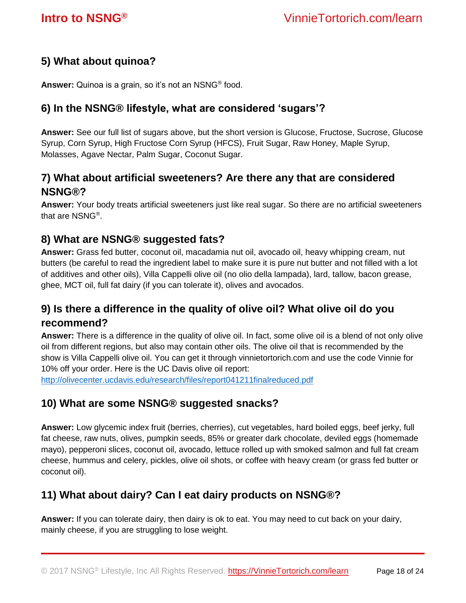### **5) What about quinoa?**

**Answer:** Quinoa is a grain, so it's not an NSNG® food.

### **6) In the NSNG® lifestyle, what are considered 'sugars'?**

**Answer:** See our full list of sugars above, but the short version is Glucose, Fructose, Sucrose, Glucose Syrup, Corn Syrup, High Fructose Corn Syrup (HFCS), Fruit Sugar, Raw Honey, Maple Syrup, Molasses, Agave Nectar, Palm Sugar, Coconut Sugar.

## **7) What about artificial sweeteners? Are there any that are considered NSNG®?**

**Answer:** Your body treats artificial sweeteners just like real sugar. So there are no artificial sweeteners that are NSNG® .

### **8) What are NSNG® suggested fats?**

**Answer:** Grass fed butter, coconut oil, macadamia nut oil, avocado oil, heavy whipping cream, nut butters (be careful to read the ingredient label to make sure it is pure nut butter and not filled with a lot of additives and other oils), Villa Cappelli olive oil (no olio della lampada), lard, tallow, bacon grease, ghee, MCT oil, full fat dairy (if you can tolerate it), olives and avocados.

## **9) Is there a difference in the quality of olive oil? What olive oil do you recommend?**

**Answer:** There is a difference in the quality of olive oil. In fact, some olive oil is a blend of not only olive oil from different regions, but also may contain other oils. The olive oil that is recommended by the show is Villa Cappelli olive oil. You can get it through vinnietortorich.com and use the code Vinnie for 10% off your order. Here is the UC Davis olive oil report:

<http://olivecenter.ucdavis.edu/research/files/report041211finalreduced.pdf>

### **10) What are some NSNG® suggested snacks?**

**Answer:** Low glycemic index fruit (berries, cherries), cut vegetables, hard boiled eggs, beef jerky, full fat cheese, raw nuts, olives, pumpkin seeds, 85% or greater dark chocolate, deviled eggs (homemade mayo), pepperoni slices, coconut oil, avocado, lettuce rolled up with smoked salmon and full fat cream cheese, hummus and celery, pickles, olive oil shots, or coffee with heavy cream (or grass fed butter or coconut oil).

### **11) What about dairy? Can I eat dairy products on NSNG®?**

**Answer:** If you can tolerate dairy, then dairy is ok to eat. You may need to cut back on your dairy, mainly cheese, if you are struggling to lose weight.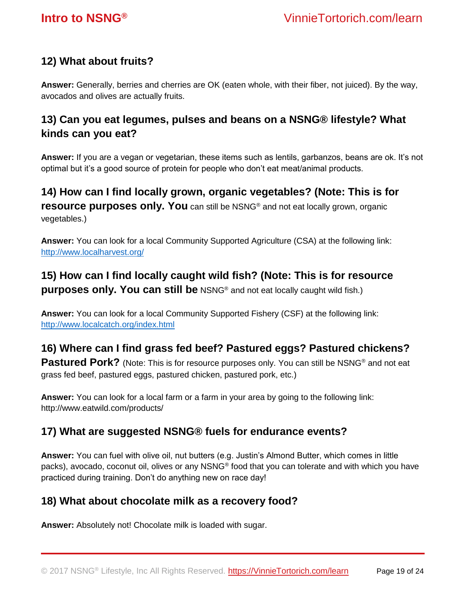### **12) What about fruits?**

**Answer:** Generally, berries and cherries are OK (eaten whole, with their fiber, not juiced). By the way, avocados and olives are actually fruits.

## **13) Can you eat legumes, pulses and beans on a NSNG® lifestyle? What kinds can you eat?**

**Answer:** If you are a vegan or vegetarian, these items such as lentils, garbanzos, beans are ok. It's not optimal but it's a good source of protein for people who don't eat meat/animal products.

**14) How can I find locally grown, organic vegetables? (Note: This is for resource purposes only. You** can still be NSNG<sup>®</sup> and not eat locally grown, organic vegetables.)

**Answer:** You can look for a local Community Supported Agriculture (CSA) at the following link: <http://www.localharvest.org/>

## **15) How can I find locally caught wild fish? (Note: This is for resource purposes only. You can still be** NSNG<sup>®</sup> and not eat locally caught wild fish.)

**Answer:** You can look for a local Community Supported Fishery (CSF) at the following link: <http://www.localcatch.org/index.html>

## **16) Where can I find grass fed beef? Pastured eggs? Pastured chickens?**

**Pastured Pork?** (Note: This is for resource purposes only. You can still be NSNG<sup>®</sup> and not eat grass fed beef, pastured eggs, pastured chicken, pastured pork, etc.)

**Answer:** You can look for a local farm or a farm in your area by going to the following link: http://www.eatwild.com/products/

### **17) What are suggested NSNG® fuels for endurance events?**

**Answer:** You can fuel with olive oil, nut butters (e.g. Justin's Almond Butter, which comes in little packs), avocado, coconut oil, olives or any NSNG® food that you can tolerate and with which you have practiced during training. Don't do anything new on race day!

### **18) What about chocolate milk as a recovery food?**

**Answer:** Absolutely not! Chocolate milk is loaded with sugar.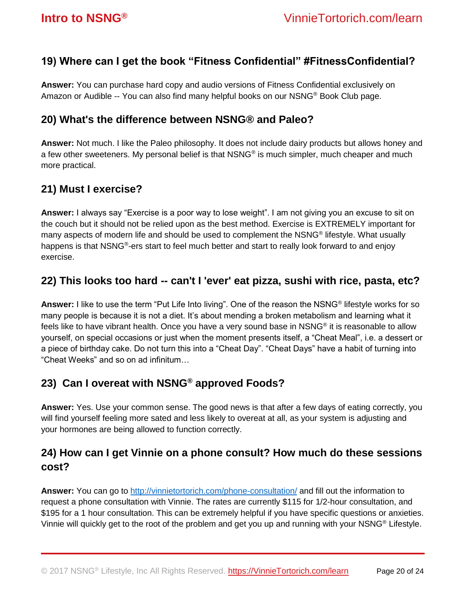### **19) Where can I get the book "Fitness Confidential" #FitnessConfidential?**

**Answer:** You can purchase hard copy and audio versions of Fitness Confidential exclusively on Amazon or Audible -- You can also find many helpful books on our NSNG® Book Club page.

### **20) What's the difference between NSNG® and Paleo?**

**Answer:** Not much. I like the Paleo philosophy. It does not include dairy products but allows honey and a few other sweeteners. My personal belief is that NSNG® is much simpler, much cheaper and much more practical.

### **21) Must I exercise?**

**Answer:** I always say "Exercise is a poor way to lose weight". I am not giving you an excuse to sit on the couch but it should not be relied upon as the best method. Exercise is EXTREMELY important for many aspects of modern life and should be used to complement the NSNG® lifestyle. What usually happens is that NSNG®-ers start to feel much better and start to really look forward to and enjoy exercise.

### **22) This looks too hard -- can't I 'ever' eat pizza, sushi with rice, pasta, etc?**

**Answer:** I like to use the term "Put Life Into living". One of the reason the NSNG® lifestyle works for so many people is because it is not a diet. It's about mending a broken metabolism and learning what it feels like to have vibrant health. Once you have a very sound base in NSNG® it is reasonable to allow yourself, on special occasions or just when the moment presents itself, a "Cheat Meal", i.e. a dessert or a piece of birthday cake. Do not turn this into a "Cheat Day". "Cheat Days" have a habit of turning into "Cheat Weeks" and so on ad infinitum…

### **23) Can I overeat with NSNG® approved Foods?**

**Answer:** Yes. Use your common sense. The good news is that after a few days of eating correctly, you will find yourself feeling more sated and less likely to overeat at all, as your system is adjusting and your hormones are being allowed to function correctly.

## **24) How can I get Vinnie on a phone consult? How much do these sessions cost?**

**Answer:** You can go to<http://vinnietortorich.com/phone-consultation/> and fill out the information to request a phone consultation with Vinnie. The rates are currently \$115 for 1/2-hour consultation, and \$195 for a 1 hour consultation. This can be extremely helpful if you have specific questions or anxieties. Vinnie will quickly get to the root of the problem and get you up and running with your NSNG® Lifestyle.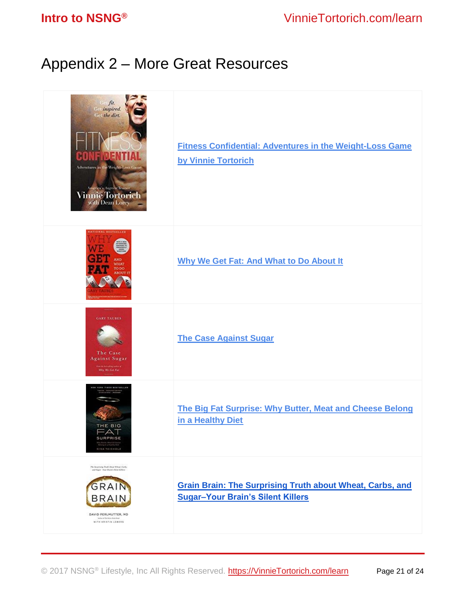## <span id="page-20-0"></span>Appendix 2 – More Great Resources

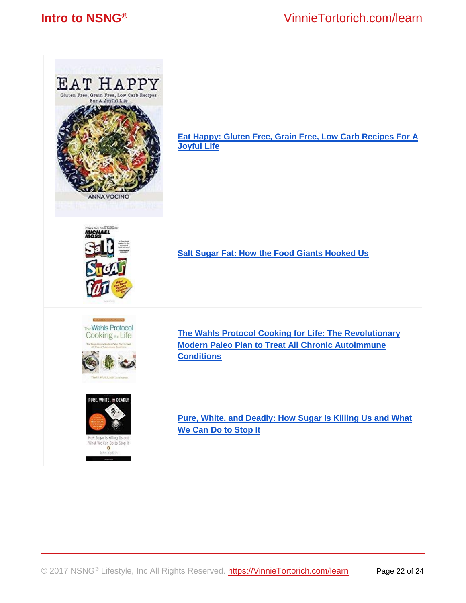## **Intro to NSNG®** VinnieTortorich.com/learn

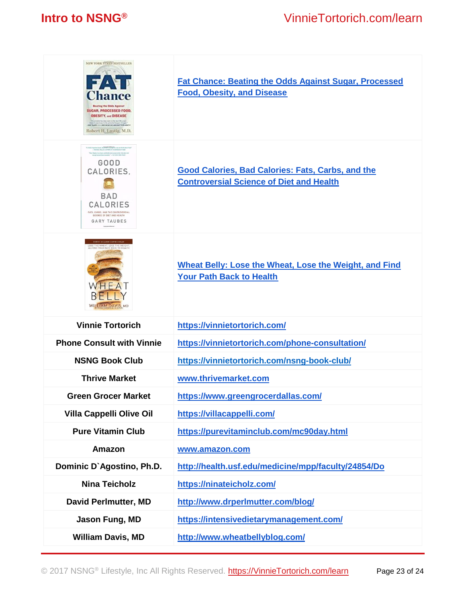| NEW YORK TIMES BESTSELLER<br><b>Boating the Odds Against</b><br>SUGAR, PROCESSED FOOD.<br><b>OBESITY, and DISEASE</b><br>.<br>Seats the first deal was a first deal of the power.<br>Republicance of the powerful deal was filled a power<br>Robert H. Lustig, M.D.                                                                                         | <b>Fat Chance: Beating the Odds Against Sugar, Processed</b><br><b>Food, Obesity, and Disease</b>           |
|-------------------------------------------------------------------------------------------------------------------------------------------------------------------------------------------------------------------------------------------------------------------------------------------------------------------------------------------------------------|-------------------------------------------------------------------------------------------------------------|
| A whelp imperfect book, do CONCENT CONTRACT from your door finals about 1995."<br>HIGHAIN, FISLAPS, AUTHER OF IN DEFENSE OF FIND<br>Sary Texton is a trave and held science purceled who does not<br>GOOD<br>CALORIES,<br><b>BAD</b><br>CALORIES<br>FATS, CARBS, AND THE CONTROVERSIAL<br>SCIENCE OF DIET AND HEALTH<br>GARY TAUBES<br>Copyrighted Makerial | <b>Good Calories, Bad Calories: Fats, Carbs, and the</b><br><b>Controversial Science of Diet and Health</b> |
| OVER 1 MILLION COPIES SOLD!<br>LOSE THE WHEAT, LOSE THE WEIGHT<br><b>D YOUR PATH BACK TO HEALTH</b><br><b>WILLIAM DAVIS, MD</b>                                                                                                                                                                                                                             | Wheat Belly: Lose the Wheat, Lose the Weight, and Find<br><b>Your Path Back to Health</b>                   |
| <b>Vinnie Tortorich</b>                                                                                                                                                                                                                                                                                                                                     | https://vinnietortorich.com/                                                                                |
| <b>Phone Consult with Vinnie</b>                                                                                                                                                                                                                                                                                                                            | https://vinnietortorich.com/phone-consultation/                                                             |
| <b>NSNG Book Club</b>                                                                                                                                                                                                                                                                                                                                       | https://vinnietortorich.com/nsng-book-club/                                                                 |
| <b>Thrive Market</b>                                                                                                                                                                                                                                                                                                                                        | www.thrivemarket.com                                                                                        |
| <b>Green Grocer Market</b>                                                                                                                                                                                                                                                                                                                                  | https://www.greengrocerdallas.com/                                                                          |
| <b>Villa Cappelli Olive Oil</b>                                                                                                                                                                                                                                                                                                                             | https://villacappelli.com/                                                                                  |
| <b>Pure Vitamin Club</b>                                                                                                                                                                                                                                                                                                                                    | https://purevitaminclub.com/mc90day.html                                                                    |
| Amazon                                                                                                                                                                                                                                                                                                                                                      | www.amazon.com                                                                                              |
| Dominic D'Agostino, Ph.D.                                                                                                                                                                                                                                                                                                                                   | http://health.usf.edu/medicine/mpp/faculty/24854/Do                                                         |
| <b>Nina Teicholz</b>                                                                                                                                                                                                                                                                                                                                        | https://ninateicholz.com/                                                                                   |
| <b>David Perlmutter, MD</b>                                                                                                                                                                                                                                                                                                                                 | http://www.drperlmutter.com/blog/                                                                           |
| Jason Fung, MD                                                                                                                                                                                                                                                                                                                                              | https://intensivedietarymanagement.com/                                                                     |
| <b>William Davis, MD</b>                                                                                                                                                                                                                                                                                                                                    | http://www.wheatbellyblog.com/                                                                              |